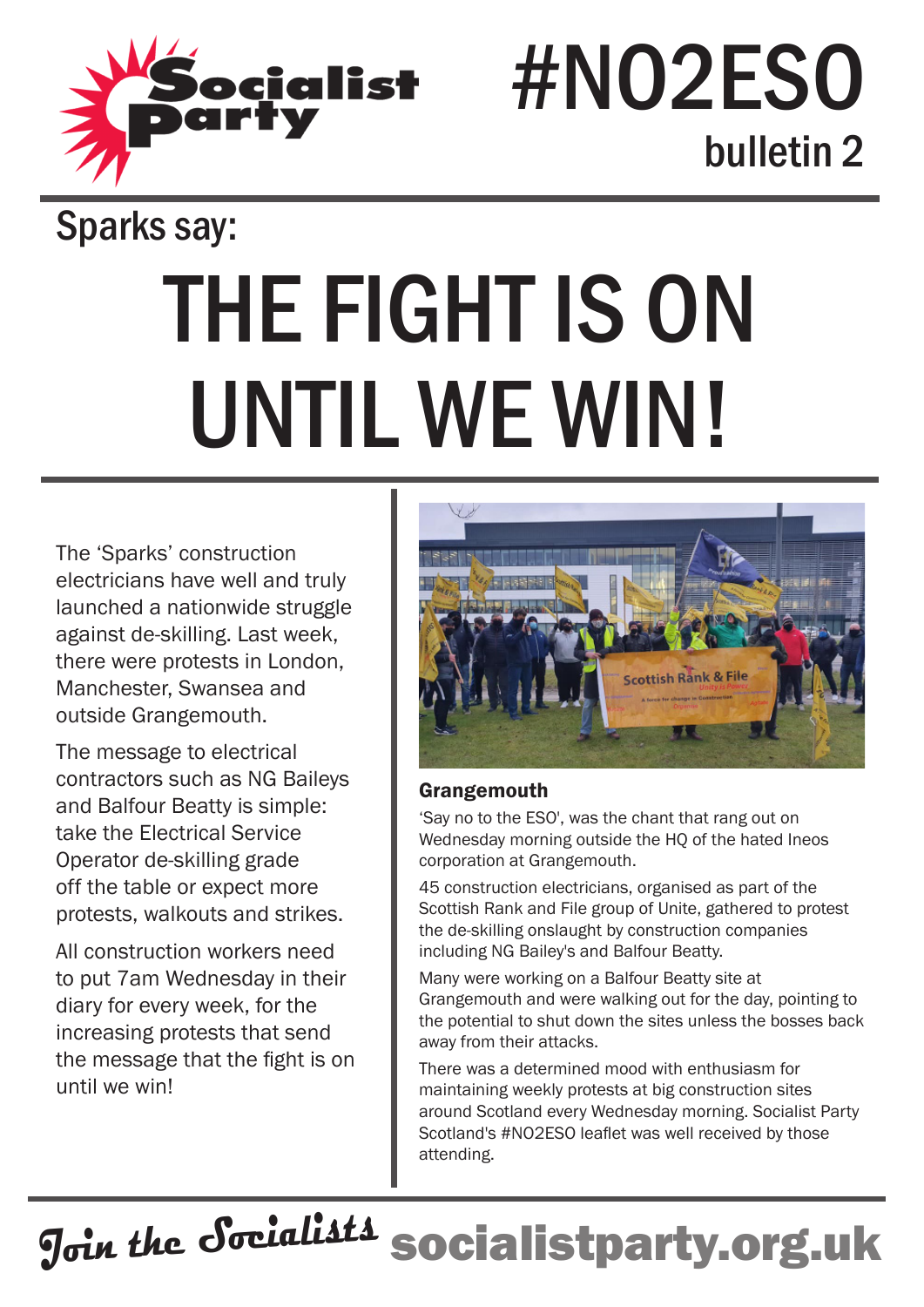

## #NO2ESO bulletin 2

### Sparks say:

# THE FIGHT IS ON UNTIL WE WIN!

The 'Sparks' construction electricians have well and truly launched a nationwide struggle against de-skilling. Last week, there were protests in London, Manchester, Swansea and outside Grangemouth.

The message to electrical contractors such as NG Baileys and Balfour Beatty is simple: take the Electrical Service Operator de-skilling grade off the table or expect more protests, walkouts and strikes.

All construction workers need to put 7am Wednesday in their diary for every week, for the increasing protests that send the message that the fight is on until we win!



#### **Grangemouth**

'Say no to the ESO', was the chant that rang out on Wednesday morning outside the HQ of the hated Ineos corporation at Grangemouth.

45 construction electricians, organised as part of the Scottish Rank and File group of Unite, gathered to protest the de-skilling onslaught by construction companies including NG Bailey's and Balfour Beatty.

Many were working on a Balfour Beatty site at Grangemouth and were walking out for the day, pointing to the potential to shut down the sites unless the bosses back away from their attacks.

There was a determined mood with enthusiasm for maintaining weekly protests at big construction sites around Scotland every Wednesday morning. Socialist Party Scotland's #NO2ESO leaflet was well received by those attending.

**Join the Socialists socialistparty.org.uk**